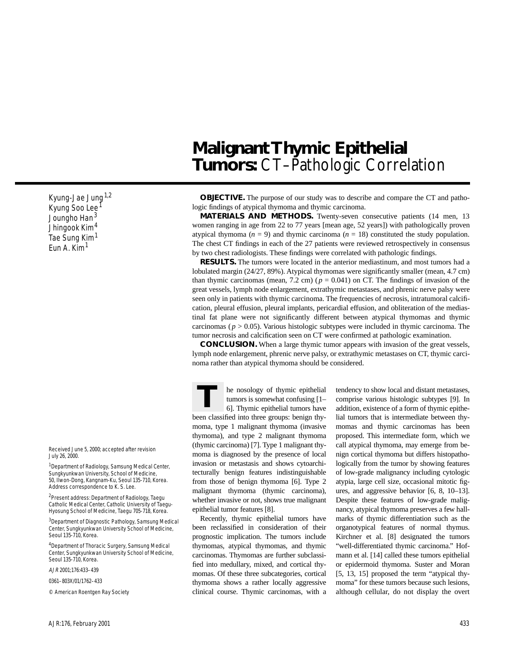Kyung-Jae Jung<sup>1,2</sup> Kyung Soo Lee<sup>1</sup> Joungho Han<sup>3</sup> Jhingook Kim<sup>4</sup> Tae Sung Kim<sup>1</sup> Eun A. Kim<sup>1</sup>

Received June 5, 2000; accepted after revision July 26, 2000.

<sup>1</sup> Department of Radiology, Samsung Medical Center, Sungkyunkwan University, School of Medicine, 50, Ilwon-Dong, Kangnam-Ku, Seoul 135-710, Korea. Address correspondence to K. S. Lee.

2Present address: Department of Radiology, Taegu Catholic Medical Center, Catholic University of Taegu-Hyosung School of Medicine, Taegu 705-718, Korea.

3Department of Diagnostic Pathology, Samsung Medical Center, Sungkyunkwan University School of Medicine, Seoul 135-710, Korea.

<sup>4</sup>Department of Thoracic Surgery, Samsung Medical Center, Sungkyunkwan University School of Medicine, Seoul 135-710, Korea

AJR 2001;176:433–439

0361–803X/01/1762–433

© American Roentgen Ray Society

# **Malignant Thymic Epithelial**  Tumors: CT-Pathologic Correlation

**OBJECTIVE.** The purpose of our study was to describe and compare the CT and pathologic findings of atypical thymoma and thymic carcinoma.

**MATERIALS AND METHODS.** Twenty-seven consecutive patients (14 men, 13 women ranging in age from 22 to 77 years [mean age, 52 years]) with pathologically proven atypical thymoma ( $n = 9$ ) and thymic carcinoma ( $n = 18$ ) constituted the study population. The chest CT findings in each of the 27 patients were reviewed retrospectively in consensus by two chest radiologists. These findings were correlated with pathologic findings.

**RESULTS.** The tumors were located in the anterior mediastinum, and most tumors had a lobulated margin (24/27, 89%). Atypical thymomas were significantly smaller (mean, 4.7 cm) than thymic carcinomas (mean,  $7.2 \text{ cm}$ ) ( $p = 0.041$ ) on CT. The findings of invasion of the great vessels, lymph node enlargement, extrathymic metastases, and phrenic nerve palsy were seen only in patients with thymic carcinoma. The frequencies of necrosis, intratumoral calcification, pleural effusion, pleural implants, pericardial effusion, and obliteration of the mediastinal fat plane were not significantly different between atypical thymomas and thymic carcinomas ( $p > 0.05$ ). Various histologic subtypes were included in thymic carcinoma. The tumor necrosis and calcification seen on CT were confirmed at pathologic examination.

**CONCLUSION.** When a large thymic tumor appears with invasion of the great vessels, lymph node enlargement, phrenic nerve palsy, or extrathymic metastases on CT, thymic carcinoma rather than atypical thymoma should be considered.

he nosology of thymic epithelial tumors is somewhat confusing [1– 6]. Thymic epithelial tumors have been classified into three groups: benign thymoma, type 1 malignant thymoma (invasive thymoma), and type 2 malignant thymoma (thymic carcinoma) [7]. Type 1 malignant thymoma is diagnosed by the presence of local invasion or metastasis and shows cytoarchitecturally benign features indistinguishable from those of benign thymoma [6]. Type 2 malignant thymoma (thymic carcinoma), whether invasive or not, shows true malignant epithelial tumor features [8]. **T**

Recently, thymic epithelial tumors have been reclassified in consideration of their prognostic implication. The tumors include thymomas, atypical thymomas, and thymic carcinomas. Thymomas are further subclassified into medullary, mixed, and cortical thymomas. Of these three subcategories, cortical thymoma shows a rather locally aggressive clinical course. Thymic carcinomas, with a tendency to show local and distant metastases, comprise various histologic subtypes [9]. In addition, existence of a form of thymic epithelial tumors that is intermediate between thymomas and thymic carcinomas has been proposed. This intermediate form, which we call atypical thymoma, may emerge from benign cortical thymoma but differs histopathologically from the tumor by showing features of low-grade malignancy including cytologic atypia, large cell size, occasional mitotic figures, and aggressive behavior [6, 8, 10–13]. Despite these features of low-grade malignancy, atypical thymoma preserves a few hallmarks of thymic differentiation such as the organotypical features of normal thymus. Kirchner et al. [8] designated the tumors "well-differentiated thymic carcinoma." Hofmann et al. [14] called these tumors epithelial or epidermoid thymoma. Suster and Moran [5, 13, 15] proposed the term "atypical thymoma" for these tumors because such lesions, although cellular, do not display the overt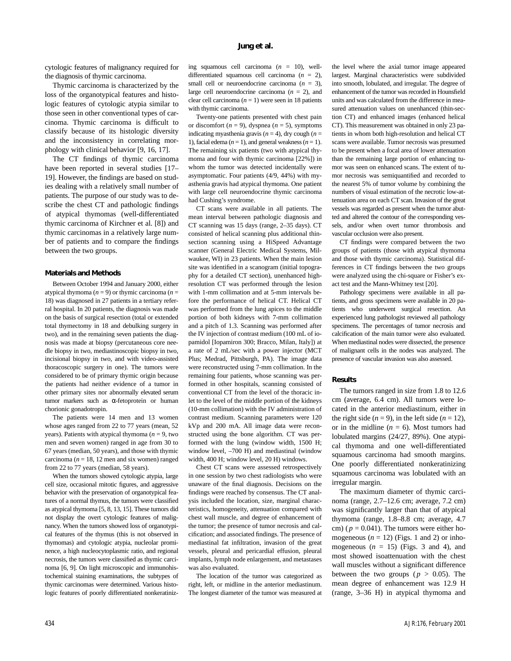cytologic features of malignancy required for the diagnosis of thymic carcinoma.

Thymic carcinoma is characterized by the loss of the organotypical features and histologic features of cytologic atypia similar to those seen in other conventional types of carcinoma. Thymic carcinoma is difficult to classify because of its histologic diversity and the inconsistency in correlating morphology with clinical behavior [9, 16, 17].

The CT findings of thymic carcinoma have been reported in several studies [17– 19]. However, the findings are based on studies dealing with a relatively small number of patients. The purpose of our study was to describe the chest CT and pathologic findings of atypical thymomas (well-differentiated thymic carcinoma of Kirchner et al. [8]) and thymic carcinomas in a relatively large number of patients and to compare the findings between the two groups.

#### **Materials and Methods**

Between October 1994 and January 2000, either atypical thymoma (*n* = 9) or thymic carcinoma (*n* = 18) was diagnosed in 27 patients in a tertiary referral hospital. In 20 patients, the diagnosis was made on the basis of surgical resection (total or extended total thymectomy in 18 and debulking surgery in two), and in the remaining seven patients the diagnosis was made at biopsy (percutaneous core needle biopsy in two, mediastinoscopic biopsy in two, incisional biopsy in two, and with video-assisted thoracoscopic surgery in one). The tumors were considered to be of primary thymic origin because the patients had neither evidence of a tumor in other primary sites nor abnormally elevated serum tumor markers such as α-fetoprotein or human chorionic gonadotropin.

The patients were 14 men and 13 women whose ages ranged from 22 to 77 years (mean, 52 years). Patients with atypical thymoma ( $n = 9$ , two men and seven women) ranged in age from 30 to 67 years (median, 50 years), and those with thymic carcinoma ( $n = 18$ , 12 men and six women) ranged from 22 to 77 years (median, 58 years).

When the tumors showed cytologic atypia, large cell size, occasional mitotic figures, and aggressive behavior with the preservation of organotypical features of a normal thymus, the tumors were classified as atypical thymoma [5, 8, 13, 15]. These tumors did not display the overt cytologic features of malignancy. When the tumors showed loss of organotypical features of the thymus (this is not observed in thymomas) and cytologic atypia, nucleolar prominence, a high nucleocytoplasmic ratio, and regional necrosis, the tumors were classified as thymic carcinoma [6, 9]. On light microscopic and immunohistochemical staining examinations, the subtypes of thymic carcinomas were determined. Various histologic features of poorly differentiated nonkeratinizing squamous cell carcinoma (*n* = 10), welldifferentiated squamous cell carcinoma  $(n = 2)$ , small cell or neuroendocrine carcinoma  $(n = 3)$ , large cell neuroendocrine carcinoma (*n* = 2), and clear cell carcinoma  $(n = 1)$  were seen in 18 patients with thymic carcinoma.

Twenty-one patients presented with chest pain or discomfort  $(n = 9)$ , dyspnea  $(n = 5)$ , symptoms indicating myasthenia gravis  $(n = 4)$ , dry cough  $(n = 1)$ 1), facial edema  $(n = 1)$ , and general weakness  $(n = 1)$ . The remaining six patients (two with atypical thymoma and four with thymic carcinoma [22%]) in whom the tumor was detected incidentally were asymptomatic. Four patients (4/9, 44%) with myasthenia gravis had atypical thymoma. One patient with large cell neuroendocrine thymic carcinoma had Cushing's syndrome.

CT scans were available in all patients. The mean interval between pathologic diagnosis and CT scanning was 15 days (range, 2–35 days). CT consisted of helical scanning plus additional thinsection scanning using a HiSpeed Advantage scanner (General Electric Medical Systems, Milwaukee, WI) in 23 patients. When the main lesion site was identified in a scanogram (initial topography for a detailed CT section), unenhanced highresolution CT was performed through the lesion with 1-mm collimation and at 5-mm intervals before the performance of helical CT. Helical CT was performed from the lung apices to the middle portion of both kidneys with 7-mm collimation and a pitch of 1.3. Scanning was performed after the IV injection of contrast medium (100 mL of iopamidol [Iopamiron 300; Bracco, Milan, Italy]) at a rate of 2 mL/sec with a power injector (MCT Plus; Medrad, Pittsburgh, PA). The image data were reconstructed using 7-mm collimation. In the remaining four patients, whose scanning was performed in other hospitals, scanning consisted of conventional CT from the level of the thoracic inlet to the level of the middle portion of the kidneys (10-mm collimation) with the IV administration of contrast medium. Scanning parameters were 120 kVp and 200 mA. All image data were reconstructed using the bone algorithm. CT was performed with the lung (window width, 1500 H; window level, –700 H) and mediastinal (window width, 400 H; window level, 20 H) windows.

Chest CT scans were assessed retrospectively in one session by two chest radiologists who were unaware of the final diagnosis. Decisions on the findings were reached by consensus. The CT analysis included the location, size, marginal characteristics, homogeneity, attenuation compared with chest wall muscle, and degree of enhancement of the tumor; the presence of tumor necrosis and calcification; and associated findings. The presence of mediastinal fat infiltration, invasion of the great vessels, pleural and pericardial effusion, pleural implants, lymph node enlargement, and metastases was also evaluated.

The location of the tumor was categorized as right, left, or midline in the anterior mediastinum. The longest diameter of the tumor was measured at the level where the axial tumor image appeared largest. Marginal characteristics were subdivided into smooth, lobulated, and irregular. The degree of enhancement of the tumor was recorded in Hounsfield units and was calculated from the difference in measured attenuation values on unenhanced (thin-section CT) and enhanced images (enhanced helical CT). This measurement was obtained in only 23 patients in whom both high-resolution and helical CT scans were available. Tumor necrosis was presumed to be present when a focal area of lower attenuation than the remaining large portion of enhancing tumor was seen on enhanced scans. The extent of tumor necrosis was semiquantified and recorded to the nearest 5% of tumor volume by combining the numbers of visual estimation of the necrotic low-attenuation area on each CT scan. Invasion of the great vessels was regarded as present when the tumor abutted and altered the contour of the corresponding vessels, and/or when overt tumor thrombosis and vascular occlusion were also present.

CT findings were compared between the two groups of patients (those with atypical thymoma and those with thymic carcinoma). Statistical differences in CT findings between the two groups were analyzed using the chi-square or Fisher's exact test and the Mann-Whitney test [20].

Pathology specimens were available in all patients, and gross specimens were available in 20 patients who underwent surgical resection. An experienced lung pathologist reviewed all pathology specimens. The percentages of tumor necrosis and calcification of the main tumor were also evaluated. When mediastinal nodes were dissected, the presence of malignant cells in the nodes was analyzed. The presence of vascular invasion was also assessed.

## **Results**

The tumors ranged in size from 1.8 to 12.6 cm (average, 6.4 cm). All tumors were located in the anterior mediastinum, either in the right side  $(n = 9)$ , in the left side  $(n = 12)$ , or in the midline  $(n = 6)$ . Most tumors had lobulated margins (24/27, 89%). One atypical thymoma and one well-differentiated squamous carcinoma had smooth margins. One poorly differentiated nonkeratinizing squamous carcinoma was lobulated with an irregular margin.

The maximum diameter of thymic carcinoma (range, 2.7–12.6 cm; average, 7.2 cm) was significantly larger than that of atypical thymoma (range, 1.8–8.8 cm; average, 4.7 cm) ( $p = 0.041$ ). The tumors were either homogeneous  $(n = 12)$  (Figs. 1 and 2) or inhomogeneous  $(n = 15)$  (Figs. 3 and 4), and most showed isoattenuation with the chest wall muscles without a significant difference between the two groups ( $p > 0.05$ ). The mean degree of enhancement was 12.9 H (range, 3–36 H) in atypical thymoma and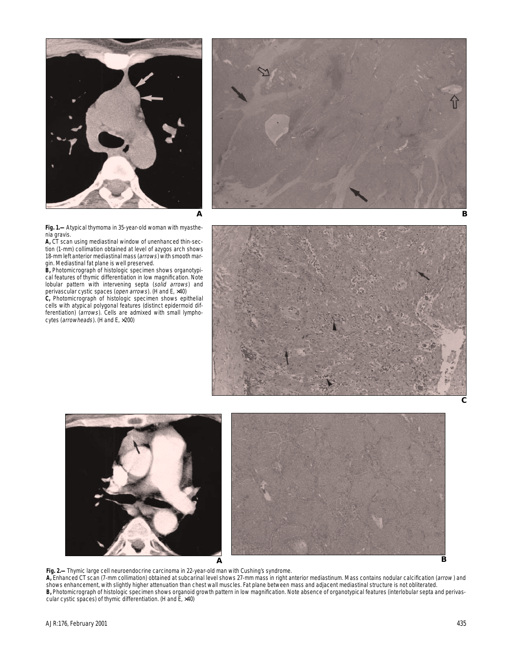



**Fig. 1.—**Atypical thymoma in 35-year-old woman with myasthenia gravis.

**A,** CT scan using mediastinal window of unenhanced thin-section (1-mm) collimation obtained at level of azygos arch shows 18-mm left anterior mediastinal mass (arrows) with smooth margin. Mediastinal fat plane is well preserved.

**B,** Photomicrograph of histologic specimen shows organotypical features of thymic differentiation in low magnification. Note lobular pattern with intervening septa (solid arrows) and perivascular cystic spaces (open arrows). (H and E, ×40)

**C,** Photomicrograph of histologic specimen shows epithelial cells with atypical polygonal features (distinct epidermoid differentiation) (arrows). Cells are admixed with small lymphocytes (arrowheads). (H and E, ×200)





**Fig. 2.—**Thymic large cell neuroendocrine carcinoma in 22-year-old man with Cushing's syndrome.

**A,** Enhanced CT scan (7-mm collimation) obtained at subcarinal level shows 27-mm mass in right anterior mediastinum. Mass contains nodular calcification (arrow ) and shows enhancement, with slightly higher attenuation than chest wall muscles. Fat plane between mass and adjacent mediastinal structure is not obliterated. **B,** Photomicrograph of histologic specimen shows organoid growth pattern in low magnification. Note absence of organotypical features (interlobular septa and perivascular cystic spaces) of thymic differentiation. (H and  $E$ ,  $\times$ 40)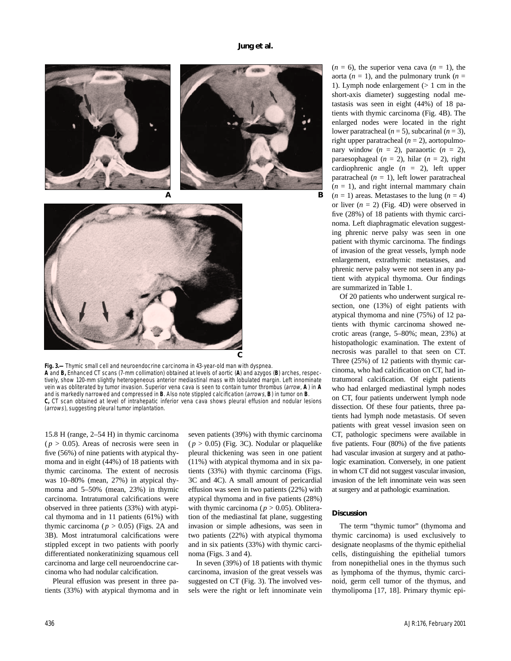



**Fig. 3.—**Thymic small cell and neuroendocrine carcinoma in 43-year-old man with dyspnea. **A** and **B,** Enhanced CT scans (7-mm collimation) obtained at levels of aortic (**A**) and azygos (**B**) arches, respectively, show 120-mm slightly heterogeneous anterior mediastinal mass with lobulated margin. Left innominate vein was obliterated by tumor invasion. Superior vena cava is seen to contain tumor thrombus (arrow, **A** ) in **A** and is markedly narrowed and compressed in **B**. Also note stippled calcification (arrows, **B**) in tumor on **B**. **C,** CT scan obtained at level of intrahepatic inferior vena cava shows pleural effusion and nodular lesions (arrows), suggesting pleural tumor implantation.

15.8 H (range, 2–54 H) in thymic carcinoma  $(p > 0.05)$ . Areas of necrosis were seen in five (56%) of nine patients with atypical thymoma and in eight (44%) of 18 patients with thymic carcinoma. The extent of necrosis was 10–80% (mean, 27%) in atypical thymoma and 5–50% (mean, 23%) in thymic carcinoma. Intratumoral calcifications were observed in three patients (33%) with atypical thymoma and in 11 patients (61%) with thymic carcinoma ( $p > 0.05$ ) (Figs. 2A and 3B). Most intratumoral calcifications were stippled except in two patients with poorly differentiated nonkeratinizing squamous cell carcinoma and large cell neuroendocrine carcinoma who had nodular calcification.

Pleural effusion was present in three patients (33%) with atypical thymoma and in seven patients (39%) with thymic carcinoma  $(p > 0.05)$  (Fig. 3C). Nodular or plaquelike pleural thickening was seen in one patient (11%) with atypical thymoma and in six patients (33%) with thymic carcinoma (Figs. 3C and 4C). A small amount of pericardial effusion was seen in two patients (22%) with atypical thymoma and in five patients (28%) with thymic carcinoma ( $p > 0.05$ ). Obliteration of the mediastinal fat plane, suggesting invasion or simple adhesions, was seen in two patients (22%) with atypical thymoma and in six patients (33%) with thymic carcinoma (Figs. 3 and 4).

In seven (39%) of 18 patients with thymic carcinoma, invasion of the great vessels was suggested on CT (Fig. 3). The involved vessels were the right or left innominate vein  $(n = 6)$ , the superior vena cava  $(n = 1)$ , the aorta ( $n = 1$ ), and the pulmonary trunk ( $n =$ 1). Lymph node enlargement (> 1 cm in the short-axis diameter) suggesting nodal metastasis was seen in eight (44%) of 18 patients with thymic carcinoma (Fig. 4B). The enlarged nodes were located in the right lower paratracheal  $(n = 5)$ , subcarinal  $(n = 3)$ , right upper paratracheal  $(n = 2)$ , aortopulmonary window  $(n = 2)$ , paraaortic  $(n = 2)$ , paraesophageal  $(n = 2)$ , hilar  $(n = 2)$ , right cardiophrenic angle (*n* = 2), left upper paratracheal  $(n = 1)$ , left lower paratracheal  $(n = 1)$ , and right internal mammary chain  $(n = 1)$  areas. Metastases to the lung  $(n = 4)$ or liver  $(n = 2)$  (Fig. 4D) were observed in five (28%) of 18 patients with thymic carcinoma. Left diaphragmatic elevation suggesting phrenic nerve palsy was seen in one patient with thymic carcinoma. The findings of invasion of the great vessels, lymph node enlargement, extrathymic metastases, and phrenic nerve palsy were not seen in any patient with atypical thymoma. Our findings are summarized in Table 1.

Of 20 patients who underwent surgical resection, one (13%) of eight patients with atypical thymoma and nine (75%) of 12 patients with thymic carcinoma showed necrotic areas (range, 5–80%; mean, 23%) at histopathologic examination. The extent of necrosis was parallel to that seen on CT. Three (25%) of 12 patients with thymic carcinoma, who had calcification on CT, had intratumoral calcification. Of eight patients who had enlarged mediastinal lymph nodes on CT, four patients underwent lymph node dissection. Of these four patients, three patients had lymph node metastasis. Of seven patients with great vessel invasion seen on CT, pathologic specimens were available in five patients. Four (80%) of the five patients had vascular invasion at surgery and at pathologic examination. Conversely, in one patient in whom CT did not suggest vascular invasion, invasion of the left innominate vein was seen at surgery and at pathologic examination.

#### **Discussion**

The term "thymic tumor" (thymoma and thymic carcinoma) is used exclusively to designate neoplasms of the thymic epithelial cells, distinguishing the epithelial tumors from nonepithelial ones in the thymus such as lymphoma of the thymus, thymic carcinoid, germ cell tumor of the thymus, and thymolipoma [17, 18]. Primary thymic epi-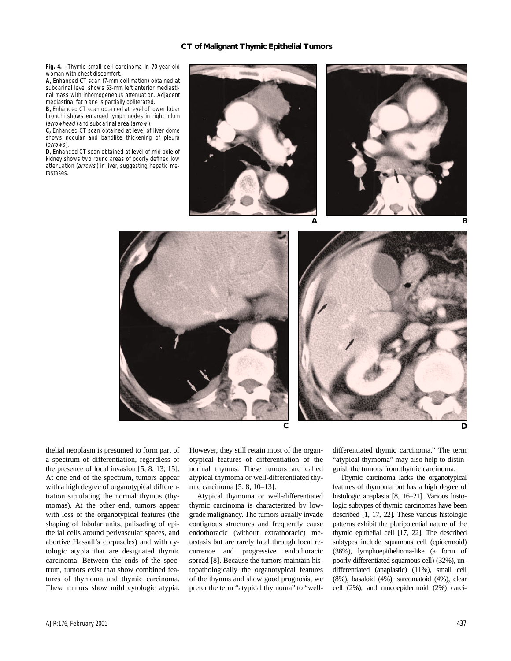### **CT of Malignant Thymic Epithelial Tumors**

**Fig. 4.—**Thymic small cell carcinoma in 70-year-old woman with chest discomfort.

**A,** Enhanced CT scan (7-mm collimation) obtained at subcarinal level shows 53-mm left anterior mediastinal mass with inhomogeneous attenuation. Adjacent mediastinal fat plane is partially obliterated.

**B,** Enhanced CT scan obtained at level of lower lobar bronchi shows enlarged lymph nodes in right hilum (arrowhead) and subcarinal area (arrow).

**C,** Enhanced CT scan obtained at level of liver dome shows nodular and bandlike thickening of pleura (arrows).

**D**, Enhanced CT scan obtained at level of mid pole of kidney shows two round areas of poorly defined low attenuation (arrows) in liver, suggesting hepatic metastases.





thelial neoplasm is presumed to form part of a spectrum of differentiation, regardless of the presence of local invasion [5, 8, 13, 15]. At one end of the spectrum, tumors appear with a high degree of organotypical differentiation simulating the normal thymus (thymomas). At the other end, tumors appear with loss of the organotypical features (the shaping of lobular units, palisading of epithelial cells around perivascular spaces, and abortive Hassall's corpuscles) and with cytologic atypia that are designated thymic carcinoma. Between the ends of the spectrum, tumors exist that show combined features of thymoma and thymic carcinoma. These tumors show mild cytologic atypia.

However, they still retain most of the organotypical features of differentiation of the normal thymus. These tumors are called atypical thymoma or well-differentiated thymic carcinoma [5, 8, 10–13].

Atypical thymoma or well-differentiated thymic carcinoma is characterized by lowgrade malignancy. The tumors usually invade contiguous structures and frequently cause endothoracic (without extrathoracic) metastasis but are rarely fatal through local recurrence and progressive endothoracic spread [8]. Because the tumors maintain histopathologically the organotypical features of the thymus and show good prognosis, we prefer the term "atypical thymoma" to "welldifferentiated thymic carcinoma." The term "atypical thymoma" may also help to distinguish the tumors from thymic carcinoma.

Thymic carcinoma lacks the organotypical features of thymoma but has a high degree of histologic anaplasia [8, 16–21]. Various histologic subtypes of thymic carcinomas have been described [1, 17, 22]. These various histologic patterns exhibit the pluripotential nature of the thymic epithelial cell [17, 22]. The described subtypes include squamous cell (epidermoid) (36%), lymphoepithelioma-like (a form of poorly differentiated squamous cell) (32%), undifferentiated (anaplastic) (11%), small cell (8%), basaloid (4%), sarcomatoid (4%), clear cell (2%), and mucoepidermoid (2%) carci-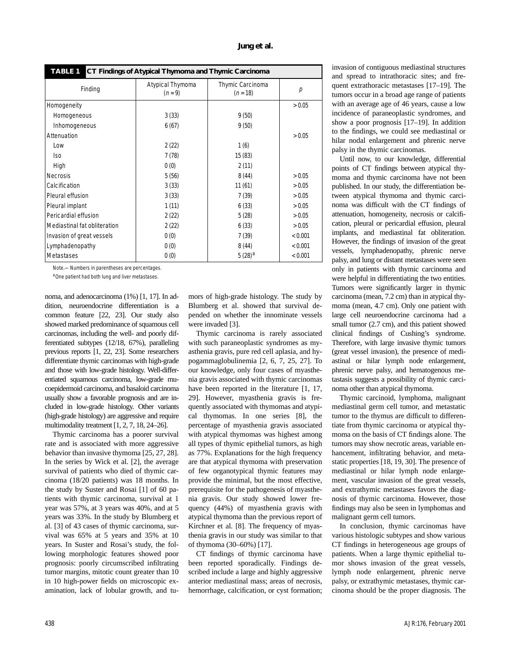| <b>TABLE 1</b><br>CT Findings of Atypical Thymoma and Thymic Carcinoma |                               |                                |         |
|------------------------------------------------------------------------|-------------------------------|--------------------------------|---------|
| Finding                                                                | Atypical Thymoma<br>$(n = 9)$ | Thymic Carcinoma<br>$(n = 18)$ | р       |
| Homogeneity                                                            |                               |                                | > 0.05  |
| Homogeneous                                                            | 3(33)                         | 9(50)                          |         |
| Inhomogeneous                                                          | 6(67)                         | 9(50)                          |         |
| Attenuation                                                            |                               |                                | > 0.05  |
| Low                                                                    | 2(22)                         | 1(6)                           |         |
| lso                                                                    | 7(78)                         | 15(83)                         |         |
| High                                                                   | 0(0)                          | 2(11)                          |         |
| <b>Necrosis</b>                                                        | 5(56)                         | 8(44)                          | > 0.05  |
| Calcification                                                          | 3(33)                         | 11(61)                         | > 0.05  |
| Pleural effusion                                                       | 3(33)                         | 7(39)                          | > 0.05  |
| Pleural implant                                                        | 1(11)                         | 6(33)                          | > 0.05  |
| Pericardial effusion                                                   | 2(22)                         | 5(28)                          | > 0.05  |
| Mediastinal fat obliteration                                           | 2(22)                         | 6(33)                          | > 0.05  |
| Invasion of great vessels                                              | 0(0)                          | 7(39)                          | < 0.001 |
| Lymphadenopathy                                                        | 0(0)                          | 8(44)                          | < 0.001 |
| Metastases                                                             | 0(0)                          | $5(28)^{a}$                    | < 0.001 |

Note.—Numbers in parentheses are percentages.

aOne patient had both lung and liver metastases.

noma, and adenocarcinoma (1%) [1, 17]. In addition, neuroendocrine differentiation is a common feature [22, 23]. Our study also showed marked predominance of squamous cell carcinomas, including the well- and poorly differentiated subtypes (12/18, 67%), paralleling previous reports [1, 22, 23]. Some researchers differentiate thymic carcinomas with high-grade and those with low-grade histology. Well-differentiated squamous carcinoma, low-grade mucoepidermoid carcinoma, and basaloid carcinoma usually show a favorable prognosis and are included in low-grade histology. Other variants (high-grade histology) are aggressive and require multimodality treatment [1, 2, 7, 18, 24–26].

Thymic carcinoma has a poorer survival rate and is associated with more aggressive behavior than invasive thymoma [25, 27, 28]. In the series by Wick et al. [2], the average survival of patients who died of thymic carcinoma (18/20 patients) was 18 months. In the study by Suster and Rosai [1] of 60 patients with thymic carcinoma, survival at 1 year was 57%, at 3 years was 40%, and at 5 years was 33%. In the study by Blumberg et al. [3] of 43 cases of thymic carcinoma, survival was 65% at 5 years and 35% at 10 years. In Suster and Rosai's study, the following morphologic features showed poor prognosis: poorly circumscribed infiltrating tumor margins, mitotic count greater than 10 in 10 high-power fields on microscopic examination, lack of lobular growth, and tumors of high-grade histology. The study by Blumberg et al. showed that survival depended on whether the innominate vessels were invaded [3].

Thymic carcinoma is rarely associated with such paraneoplastic syndromes as myasthenia gravis, pure red cell aplasia, and hypogammaglobulinemia [2, 6, 7, 25, 27]. To our knowledge, only four cases of myasthenia gravis associated with thymic carcinomas have been reported in the literature [1, 17, 29]. However, myasthenia gravis is frequently associated with thymomas and atypical thymomas. In one series [8], the percentage of myasthenia gravis associated with atypical thymomas was highest among all types of thymic epithelial tumors, as high as 77%. Explanations for the high frequency are that atypical thymoma with preservation of few organotypical thymic features may provide the minimal, but the most effective, prerequisite for the pathogenesis of myasthenia gravis. Our study showed lower frequency (44%) of myasthenia gravis with atypical thymoma than the previous report of Kirchner et al. [8]. The frequency of myasthenia gravis in our study was similar to that of thymoma (30–60%) [17].

CT findings of thymic carcinoma have been reported sporadically. Findings described include a large and highly aggressive anterior mediastinal mass; areas of necrosis, hemorrhage, calcification, or cyst formation; invasion of contiguous mediastinal structures and spread to intrathoracic sites; and frequent extrathoracic metastases [17–19]. The tumors occur in a broad age range of patients with an average age of 46 years, cause a low incidence of paraneoplastic syndromes, and show a poor prognosis [17–19]. In addition to the findings, we could see mediastinal or hilar nodal enlargement and phrenic nerve palsy in the thymic carcinomas.

Until now, to our knowledge, differential points of CT findings between atypical thymoma and thymic carcinoma have not been published. In our study, the differentiation between atypical thymoma and thymic carcinoma was difficult with the CT findings of attenuation, homogeneity, necrosis or calcification, pleural or pericardial effusion, pleural implants, and mediastinal fat obliteration. However, the findings of invasion of the great vessels, lymphadenopathy, phrenic nerve palsy, and lung or distant metastases were seen only in patients with thymic carcinoma and were helpful in differentiating the two entities. Tumors were significantly larger in thymic carcinoma (mean, 7.2 cm) than in atypical thymoma (mean, 4.7 cm). Only one patient with large cell neuroendocrine carcinoma had a small tumor (2.7 cm), and this patient showed clinical findings of Cushing's syndrome. Therefore, with large invasive thymic tumors (great vessel invasion), the presence of mediastinal or hilar lymph node enlargement, phrenic nerve palsy, and hematogenous metastasis suggests a possibility of thymic carcinoma other than atypical thymoma.

Thymic carcinoid, lymphoma, malignant mediastinal germ cell tumor, and metastatic tumor to the thymus are difficult to differentiate from thymic carcinoma or atypical thymoma on the basis of CT findings alone. The tumors may show necrotic areas, variable enhancement, infiltrating behavior, and metastatic properties [18, 19, 30]. The presence of mediastinal or hilar lymph node enlargement, vascular invasion of the great vessels, and extrathymic metastases favors the diagnosis of thymic carcinoma. However, those findings may also be seen in lymphomas and malignant germ cell tumors.

In conclusion, thymic carcinomas have various histologic subtypes and show various CT findings in heterogeneous age groups of patients. When a large thymic epithelial tumor shows invasion of the great vessels, lymph node enlargement, phrenic nerve palsy, or extrathymic metastases, thymic carcinoma should be the proper diagnosis. The